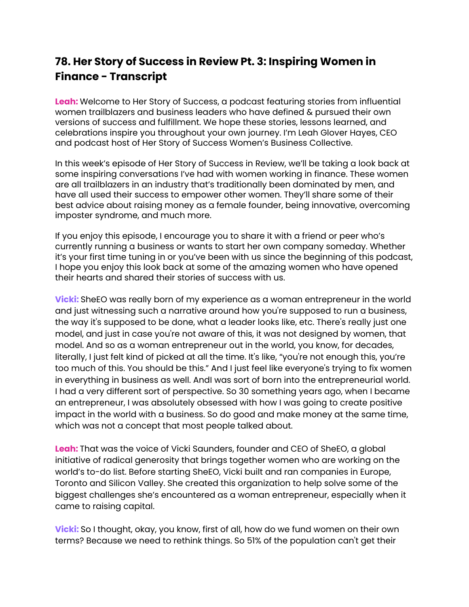## **78. Her Story of Success in Review Pt. 3: Inspiring Women in Finance - Transcript**

**Leah:** Welcome to Her Story of Success, a podcast featuring stories from influential women trailblazers and business leaders who have defined & pursued their own versions of success and fulfillment. We hope these stories, lessons learned, and celebrations inspire you throughout your own journey. I'm Leah Glover Hayes, CEO and podcast host of Her Story of Success Women's Business Collective.

In this week's episode of Her Story of Success in Review, we'll be taking a look back at some inspiring conversations I've had with women working in finance. These women are all trailblazers in an industry that's traditionally been dominated by men, and have all used their success to empower other women. They'll share some of their best advice about raising money as a female founder, being innovative, overcoming imposter syndrome, and much more.

If you enjoy this episode, I encourage you to share it with a friend or peer who's currently running a business or wants to start her own company someday. Whether it's your first time tuning in or you've been with us since the beginning of this podcast, I hope you enjoy this look back at some of the amazing women who have opened their hearts and shared their stories of success with us.

**Vicki:** SheEO was really born of my experience as a woman entrepreneur in the world and just witnessing such a narrative around how you're supposed to run a business, the way it's supposed to be done, what a leader looks like, etc. There's really just one model, and just in case you're not aware of this, it was not designed by women, that model. And so as a woman entrepreneur out in the world, you know, for decades, literally, I just felt kind of picked at all the time. It's like, "you're not enough this, you're too much of this. You should be this." And I just feel like everyone's trying to fix women in everything in business as well. AndI was sort of born into the entrepreneurial world. I had a very different sort of perspective. So 30 something years ago, when I became an entrepreneur, I was absolutely obsessed with how I was going to create positive impact in the world with a business. So do good and make money at the same time, which was not a concept that most people talked about.

**Leah:** That was the voice of Vicki Saunders, founder and CEO of SheEO, a global initiative of radical generosity that brings together women who are working on the world's to-do list. Before starting SheEO, Vicki built and ran companies in Europe, Toronto and Silicon Valley. She created this organization to help solve some of the biggest challenges she's encountered as a woman entrepreneur, especially when it came to raising capital.

**Vicki:** So I thought, okay, you know, first of all, how do we fund women on their own terms? Because we need to rethink things. So 51% of the population can't get their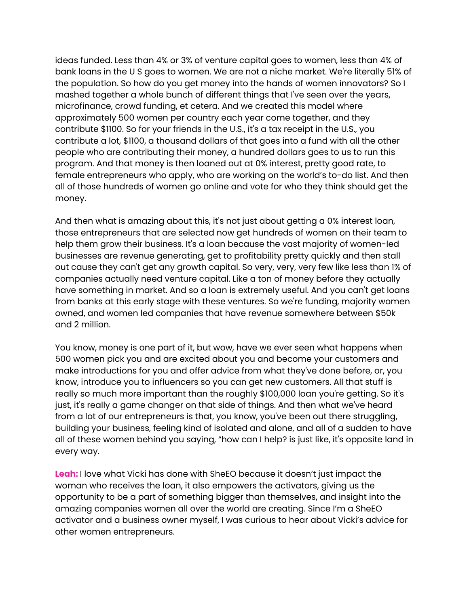ideas funded. Less than 4% or 3% of venture capital goes to women, less than 4% of bank loans in the U S goes to women. We are not a niche market. We're literally 51% of the population. So how do you get money into the hands of women innovators? So I mashed together a whole bunch of different things that I've seen over the years, microfinance, crowd funding, et cetera. And we created this model where approximately 500 women per country each year come together, and they contribute \$1100. So for your friends in the U.S., it's a tax receipt in the U.S., you contribute a lot, \$1100, a thousand dollars of that goes into a fund with all the other people who are contributing their money, a hundred dollars goes to us to run this program. And that money is then loaned out at 0% interest, pretty good rate, to female entrepreneurs who apply, who are working on the world's to-do list. And then all of those hundreds of women go online and vote for who they think should get the money.

And then what is amazing about this, it's not just about getting a 0% interest loan, those entrepreneurs that are selected now get hundreds of women on their team to help them grow their business. It's a loan because the vast majority of women-led businesses are revenue generating, get to profitability pretty quickly and then stall out cause they can't get any growth capital. So very, very, very few like less than 1% of companies actually need venture capital. Like a ton of money before they actually have something in market. And so a loan is extremely useful. And you can't get loans from banks at this early stage with these ventures. So we're funding, majority women owned, and women led companies that have revenue somewhere between \$50k and 2 million.

You know, money is one part of it, but wow, have we ever seen what happens when 500 women pick you and are excited about you and become your customers and make introductions for you and offer advice from what they've done before, or, you know, introduce you to influencers so you can get new customers. All that stuff is really so much more important than the roughly \$100,000 loan you're getting. So it's just, it's really a game changer on that side of things. And then what we've heard from a lot of our entrepreneurs is that, you know, you've been out there struggling, building your business, feeling kind of isolated and alone, and all of a sudden to have all of these women behind you saying, "how can I help? is just like, it's opposite land in every way.

**Leah:** I love what Vicki has done with SheEO because it doesn't just impact the woman who receives the loan, it also empowers the activators, giving us the opportunity to be a part of something bigger than themselves, and insight into the amazing companies women all over the world are creating. Since I'm a SheEO activator and a business owner myself, I was curious to hear about Vicki's advice for other women entrepreneurs.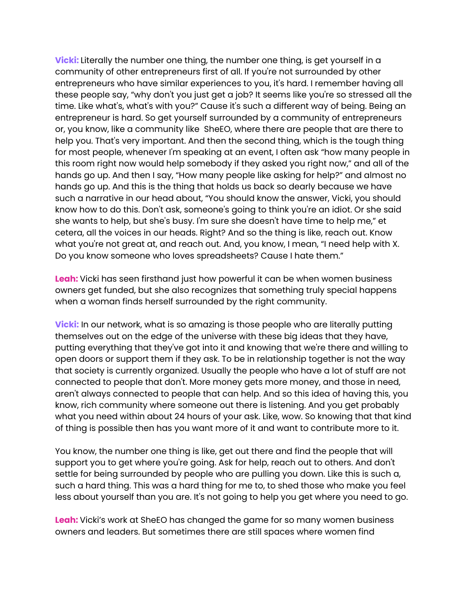**Vicki:** Literally the number one thing, the number one thing, is get yourself in a community of other entrepreneurs first of all. If you're not surrounded by other entrepreneurs who have similar experiences to you, it's hard. I remember having all these people say, "why don't you just get a job? It seems like you're so stressed all the time. Like what's, what's with you?" Cause it's such a different way of being. Being an entrepreneur is hard. So get yourself surrounded by a community of entrepreneurs or, you know, like a community like SheEO, where there are people that are there to help you. That's very important. And then the second thing, which is the tough thing for most people, whenever I'm speaking at an event, I often ask "how many people in this room right now would help somebody if they asked you right now," and all of the hands go up. And then I say, "How many people like asking for help?" and almost no hands go up. And this is the thing that holds us back so dearly because we have such a narrative in our head about, "You should know the answer, Vicki, you should know how to do this. Don't ask, someone's going to think you're an idiot. Or she said she wants to help, but she's busy. I'm sure she doesn't have time to help me," et cetera, all the voices in our heads. Right? And so the thing is like, reach out. Know what you're not great at, and reach out. And, you know, I mean, "I need help with X. Do you know someone who loves spreadsheets? Cause I hate them."

**Leah:** Vicki has seen firsthand just how powerful it can be when women business owners get funded, but she also recognizes that something truly special happens when a woman finds herself surrounded by the right community.

**Vicki:** In our network, what is so amazing is those people who are literally putting themselves out on the edge of the universe with these big ideas that they have, putting everything that they've got into it and knowing that we're there and willing to open doors or support them if they ask. To be in relationship together is not the way that society is currently organized. Usually the people who have a lot of stuff are not connected to people that don't. More money gets more money, and those in need, aren't always connected to people that can help. And so this idea of having this, you know, rich community where someone out there is listening. And you get probably what you need within about 24 hours of your ask. Like, wow. So knowing that that kind of thing is possible then has you want more of it and want to contribute more to it.

You know, the number one thing is like, get out there and find the people that will support you to get where you're going. Ask for help, reach out to others. And don't settle for being surrounded by people who are pulling you down. Like this is such a, such a hard thing. This was a hard thing for me to, to shed those who make you feel less about yourself than you are. It's not going to help you get where you need to go.

**Leah:** Vicki's work at SheEO has changed the game for so many women business owners and leaders. But sometimes there are still spaces where women find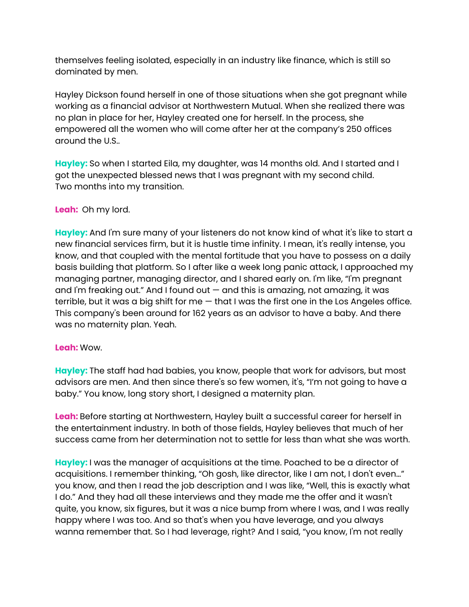themselves feeling isolated, especially in an industry like finance, which is still so dominated by men.

Hayley Dickson found herself in one of those situations when she got pregnant while working as a financial advisor at Northwestern Mutual. When she realized there was no plan in place for her, Hayley created one for herself. In the process, she empowered all the women who will come after her at the company's 250 offices around the U.S..

**Hayley:** So when I started Eila, my daughter, was 14 months old. And I started and I got the unexpected blessed news that I was pregnant with my second child. Two months into my transition.

## **Leah:** Oh my lord.

**Hayley:** And I'm sure many of your listeners do not know kind of what it's like to start a new financial services firm, but it is hustle time infinity. I mean, it's really intense, you know, and that coupled with the mental fortitude that you have to possess on a daily basis building that platform. So I after like a week long panic attack, I approached my managing partner, managing director, and I shared early on. I'm like, "I'm pregnant and I'm freaking out." And I found out — and this is amazing, not amazing, it was terrible, but it was a big shift for me  $-$  that I was the first one in the Los Angeles office. This company's been around for 162 years as an advisor to have a baby. And there was no maternity plan. Yeah.

## **Leah:** Wow.

**Hayley:** The staff had had babies, you know, people that work for advisors, but most advisors are men. And then since there's so few women, it's, "I'm not going to have a baby." You know, long story short, I designed a maternity plan.

**Leah:** Before starting at Northwestern, Hayley built a successful career for herself in the entertainment industry. In both of those fields, Hayley believes that much of her success came from her determination not to settle for less than what she was worth.

**Hayley:** I was the manager of acquisitions at the time. Poached to be a director of acquisitions. I remember thinking, "Oh gosh, like director, like I am not, I don't even…" you know, and then I read the job description and I was like, "Well, this is exactly what I do." And they had all these interviews and they made me the offer and it wasn't quite, you know, six figures, but it was a nice bump from where I was, and I was really happy where I was too. And so that's when you have leverage, and you always wanna remember that. So I had leverage, right? And I said, "you know, I'm not really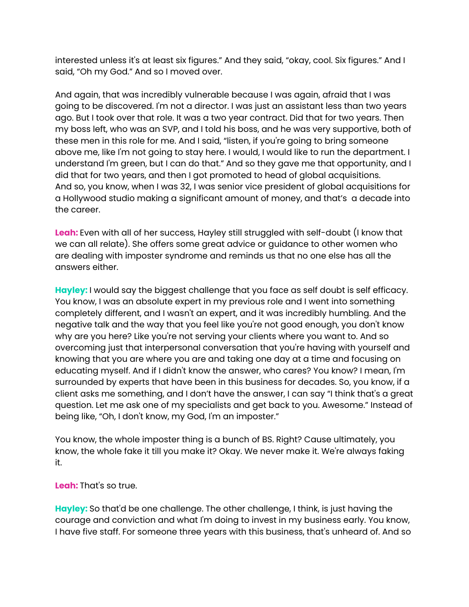interested unless it's at least six figures." And they said, "okay, cool. Six figures." And I said, "Oh my God." And so I moved over.

And again, that was incredibly vulnerable because I was again, afraid that I was going to be discovered. I'm not a director. I was just an assistant less than two years ago. But I took over that role. It was a two year contract. Did that for two years. Then my boss left, who was an SVP, and I told his boss, and he was very supportive, both of these men in this role for me. And I said, "listen, if you're going to bring someone above me, like I'm not going to stay here. I would, I would like to run the department. I understand I'm green, but I can do that." And so they gave me that opportunity, and I did that for two years, and then I got promoted to head of global acquisitions. And so, you know, when I was 32, I was senior vice president of global acquisitions for a Hollywood studio making a significant amount of money, and that's a decade into the career.

**Leah:** Even with all of her success, Hayley still struggled with self-doubt (I know that we can all relate). She offers some great advice or guidance to other women who are dealing with imposter syndrome and reminds us that no one else has all the answers either.

**Hayley:** I would say the biggest challenge that you face as self doubt is self efficacy. You know, I was an absolute expert in my previous role and I went into something completely different, and I wasn't an expert, and it was incredibly humbling. And the negative talk and the way that you feel like you're not good enough, you don't know why are you here? Like you're not serving your clients where you want to. And so overcoming just that interpersonal conversation that you're having with yourself and knowing that you are where you are and taking one day at a time and focusing on educating myself. And if I didn't know the answer, who cares? You know? I mean, I'm surrounded by experts that have been in this business for decades. So, you know, if a client asks me something, and I don't have the answer, I can say "I think that's a great question. Let me ask one of my specialists and get back to you. Awesome." Instead of being like, "Oh, I don't know, my God, I'm an imposter."

You know, the whole imposter thing is a bunch of BS. Right? Cause ultimately, you know, the whole fake it till you make it? Okay. We never make it. We're always faking it.

## **Leah:** That's so true.

**Hayley:** So that'd be one challenge. The other challenge, I think, is just having the courage and conviction and what I'm doing to invest in my business early. You know, I have five staff. For someone three years with this business, that's unheard of. And so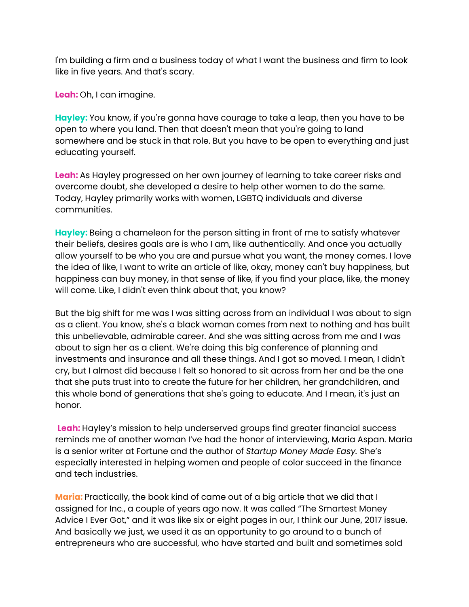I'm building a firm and a business today of what I want the business and firm to look like in five years. And that's scary.

**Leah:** Oh, I can imagine.

**Hayley:** You know, if you're gonna have courage to take a leap, then you have to be open to where you land. Then that doesn't mean that you're going to land somewhere and be stuck in that role. But you have to be open to everything and just educating yourself.

**Leah:** As Hayley progressed on her own journey of learning to take career risks and overcome doubt, she developed a desire to help other women to do the same. Today, Hayley primarily works with women, LGBTQ individuals and diverse communities.

**Hayley:** Being a chameleon for the person sitting in front of me to satisfy whatever their beliefs, desires goals are is who I am, like authentically. And once you actually allow yourself to be who you are and pursue what you want, the money comes. I love the idea of like, I want to write an article of like, okay, money can't buy happiness, but happiness can buy money, in that sense of like, if you find your place, like, the money will come. Like, I didn't even think about that, you know?

But the big shift for me was I was sitting across from an individual I was about to sign as a client. You know, she's a black woman comes from next to nothing and has built this unbelievable, admirable career. And she was sitting across from me and I was about to sign her as a client. We're doing this big conference of planning and investments and insurance and all these things. And I got so moved. I mean, I didn't cry, but I almost did because I felt so honored to sit across from her and be the one that she puts trust into to create the future for her children, her grandchildren, and this whole bond of generations that she's going to educate. And I mean, it's just an honor.

**Leah:** Hayley's mission to help underserved groups find greater financial success reminds me of another woman I've had the honor of interviewing, Maria Aspan. Maria is a senior writer at Fortune and the author of *Startup Money Made Easy.* She's especially interested in helping women and people of color succeed in the finance and tech industries.

**Maria:** Practically, the book kind of came out of a big article that we did that I assigned for Inc., a couple of years ago now. It was called "The Smartest Money Advice I Ever Got," and it was like six or eight pages in our, I think our June, 2017 issue. And basically we just, we used it as an opportunity to go around to a bunch of entrepreneurs who are successful, who have started and built and sometimes sold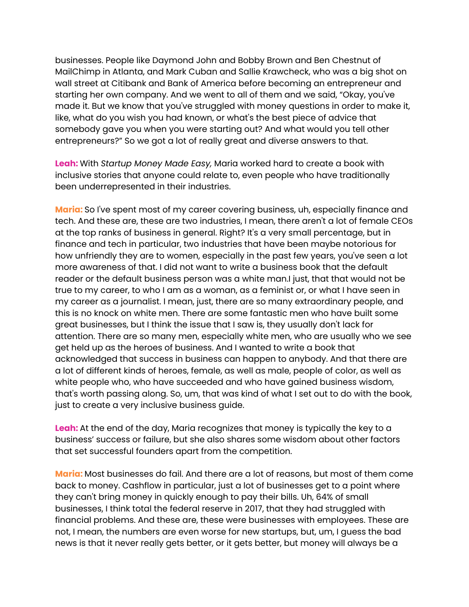businesses. People like Daymond John and Bobby Brown and Ben Chestnut of MailChimp in Atlanta, and Mark Cuban and Sallie Krawcheck, who was a big shot on wall street at Citibank and Bank of America before becoming an entrepreneur and starting her own company. And we went to all of them and we said, "Okay, you've made it. But we know that you've struggled with money questions in order to make it, like, what do you wish you had known, or what's the best piece of advice that somebody gave you when you were starting out? And what would you tell other entrepreneurs?" So we got a lot of really great and diverse answers to that.

**Leah:** With *Startup Money Made Easy,* Maria worked hard to create a book with inclusive stories that anyone could relate to, even people who have traditionally been underrepresented in their industries.

**Maria:** So I've spent most of my career covering business, uh, especially finance and tech. And these are, these are two industries, I mean, there aren't a lot of female CEOs at the top ranks of business in general. Right? It's a very small percentage, but in finance and tech in particular, two industries that have been maybe notorious for how unfriendly they are to women, especially in the past few years, you've seen a lot more awareness of that. I did not want to write a business book that the default reader or the default business person was a white man.I just, that that would not be true to my career, to who I am as a woman, as a feminist or, or what I have seen in my career as a journalist. I mean, just, there are so many extraordinary people, and this is no knock on white men. There are some fantastic men who have built some great businesses, but I think the issue that I saw is, they usually don't lack for attention. There are so many men, especially white men, who are usually who we see get held up as the heroes of business. And I wanted to write a book that acknowledged that success in business can happen to anybody. And that there are a lot of different kinds of heroes, female, as well as male, people of color, as well as white people who, who have succeeded and who have gained business wisdom, that's worth passing along. So, um, that was kind of what I set out to do with the book, just to create a very inclusive business guide.

**Leah:** At the end of the day, Maria recognizes that money is typically the key to a business' success or failure, but she also shares some wisdom about other factors that set successful founders apart from the competition.

**Maria:** Most businesses do fail. And there are a lot of reasons, but most of them come back to money. Cashflow in particular, just a lot of businesses get to a point where they can't bring money in quickly enough to pay their bills. Uh, 64% of small businesses, I think total the federal reserve in 2017, that they had struggled with financial problems. And these are, these were businesses with employees. These are not, I mean, the numbers are even worse for new startups, but, um, I guess the bad news is that it never really gets better, or it gets better, but money will always be a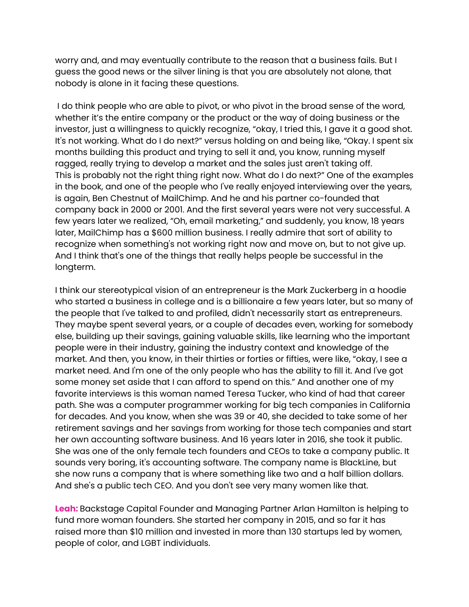worry and, and may eventually contribute to the reason that a business fails. But I guess the good news or the silver lining is that you are absolutely not alone, that nobody is alone in it facing these questions.

I do think people who are able to pivot, or who pivot in the broad sense of the word, whether it's the entire company or the product or the way of doing business or the investor, just a willingness to quickly recognize, "okay, I tried this, I gave it a good shot. It's not working. What do I do next?" versus holding on and being like, "Okay. I spent six months building this product and trying to sell it and, you know, running myself ragged, really trying to develop a market and the sales just aren't taking off. This is probably not the right thing right now. What do I do next?" One of the examples in the book, and one of the people who I've really enjoyed interviewing over the years, is again, Ben Chestnut of MailChimp. And he and his partner co-founded that company back in 2000 or 2001. And the first several years were not very successful. A few years later we realized, "Oh, email marketing," and suddenly, you know, 18 years later, MailChimp has a \$600 million business. I really admire that sort of ability to recognize when something's not working right now and move on, but to not give up. And I think that's one of the things that really helps people be successful in the longterm.

I think our stereotypical vision of an entrepreneur is the Mark Zuckerberg in a hoodie who started a business in college and is a billionaire a few years later, but so many of the people that I've talked to and profiled, didn't necessarily start as entrepreneurs. They maybe spent several years, or a couple of decades even, working for somebody else, building up their savings, gaining valuable skills, like learning who the important people were in their industry, gaining the industry context and knowledge of the market. And then, you know, in their thirties or forties or fifties, were like, "okay, I see a market need. And I'm one of the only people who has the ability to fill it. And I've got some money set aside that I can afford to spend on this." And another one of my favorite interviews is this woman named Teresa Tucker, who kind of had that career path. She was a computer programmer working for big tech companies in California for decades. And you know, when she was 39 or 40, she decided to take some of her retirement savings and her savings from working for those tech companies and start her own accounting software business. And 16 years later in 2016, she took it public. She was one of the only female tech founders and CEOs to take a company public. It sounds very boring, it's accounting software. The company name is BlackLine, but she now runs a company that is where something like two and a half billion dollars. And she's a public tech CEO. And you don't see very many women like that.

**Leah:** Backstage Capital Founder and Managing Partner Arlan Hamilton is helping to fund more woman founders. She started her company in 2015, and so far it has raised more than \$10 million and invested in more than 130 startups led by women, people of color, and LGBT individuals.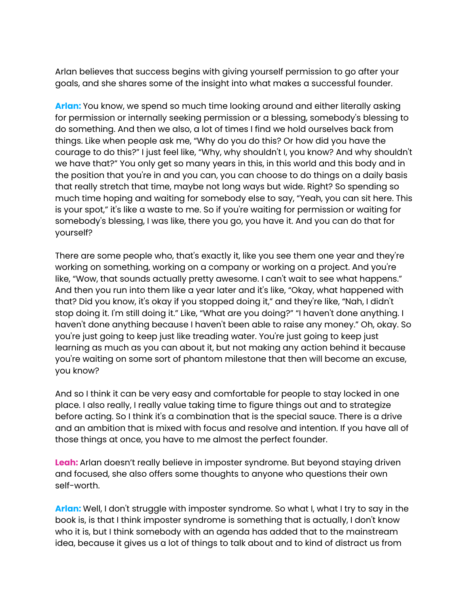Arlan believes that success begins with giving yourself permission to go after your goals, and she shares some of the insight into what makes a successful founder.

**Arlan:** You know, we spend so much time looking around and either literally asking for permission or internally seeking permission or a blessing, somebody's blessing to do something. And then we also, a lot of times I find we hold ourselves back from things. Like when people ask me, "Why do you do this? Or how did you have the courage to do this?" I just feel like, "Why, why shouldn't I, you know? And why shouldn't we have that?" You only get so many years in this, in this world and this body and in the position that you're in and you can, you can choose to do things on a daily basis that really stretch that time, maybe not long ways but wide. Right? So spending so much time hoping and waiting for somebody else to say, "Yeah, you can sit here. This is your spot," it's like a waste to me. So if you're waiting for permission or waiting for somebody's blessing, I was like, there you go, you have it. And you can do that for yourself?

There are some people who, that's exactly it, like you see them one year and they're working on something, working on a company or working on a project. And you're like, "Wow, that sounds actually pretty awesome. I can't wait to see what happens." And then you run into them like a year later and it's like, "Okay, what happened with that? Did you know, it's okay if you stopped doing it," and they're like, "Nah, I didn't stop doing it. I'm still doing it." Like, "What are you doing?" "I haven't done anything. I haven't done anything because I haven't been able to raise any money." Oh, okay. So you're just going to keep just like treading water. You're just going to keep just learning as much as you can about it, but not making any action behind it because you're waiting on some sort of phantom milestone that then will become an excuse, you know?

And so I think it can be very easy and comfortable for people to stay locked in one place. I also really, I really value taking time to figure things out and to strategize before acting. So I think it's a combination that is the special sauce. There is a drive and an ambition that is mixed with focus and resolve and intention. If you have all of those things at once, you have to me almost the perfect founder.

**Leah:** Arlan doesn't really believe in imposter syndrome. But beyond staying driven and focused, she also offers some thoughts to anyone who questions their own self-worth.

**Arlan:** Well, I don't struggle with imposter syndrome. So what I, what I try to say in the book is, is that I think imposter syndrome is something that is actually, I don't know who it is, but I think somebody with an agenda has added that to the mainstream idea, because it gives us a lot of things to talk about and to kind of distract us from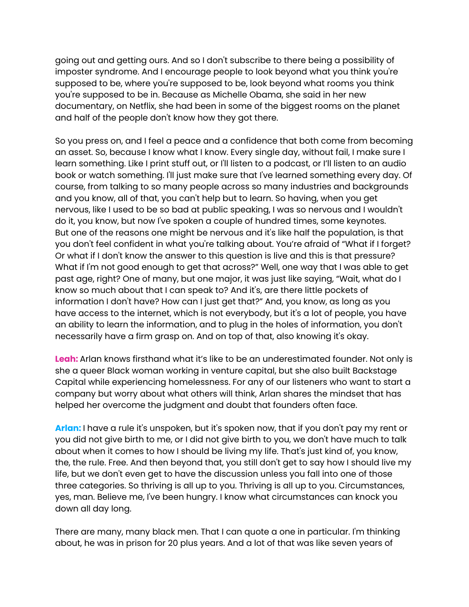going out and getting ours. And so I don't subscribe to there being a possibility of imposter syndrome. And I encourage people to look beyond what you think you're supposed to be, where you're supposed to be, look beyond what rooms you think you're supposed to be in. Because as Michelle Obama, she said in her new documentary, on Netflix, she had been in some of the biggest rooms on the planet and half of the people don't know how they got there.

So you press on, and I feel a peace and a confidence that both come from becoming an asset. So, because I know what I know. Every single day, without fail, I make sure I learn something. Like I print stuff out, or I'll listen to a podcast, or I'll listen to an audio book or watch something. I'll just make sure that I've learned something every day. Of course, from talking to so many people across so many industries and backgrounds and you know, all of that, you can't help but to learn. So having, when you get nervous, like I used to be so bad at public speaking, I was so nervous and I wouldn't do it, you know, but now I've spoken a couple of hundred times, some keynotes. But one of the reasons one might be nervous and it's like half the population, is that you don't feel confident in what you're talking about. You're afraid of "What if I forget? Or what if I don't know the answer to this question is live and this is that pressure? What if I'm not good enough to get that across?" Well, one way that I was able to get past age, right? One of many, but one major, it was just like saying, "Wait, what do I know so much about that I can speak to? And it's, are there little pockets of information I don't have? How can I just get that?" And, you know, as long as you have access to the internet, which is not everybody, but it's a lot of people, you have an ability to learn the information, and to plug in the holes of information, you don't necessarily have a firm grasp on. And on top of that, also knowing it's okay.

**Leah:** Arlan knows firsthand what it's like to be an underestimated founder. Not only is she a queer Black woman working in venture capital, but she also built Backstage Capital while experiencing homelessness. For any of our listeners who want to start a company but worry about what others will think, Arlan shares the mindset that has helped her overcome the judgment and doubt that founders often face.

**Arlan:** I have a rule it's unspoken, but it's spoken now, that if you don't pay my rent or you did not give birth to me, or I did not give birth to you, we don't have much to talk about when it comes to how I should be living my life. That's just kind of, you know, the, the rule. Free. And then beyond that, you still don't get to say how I should live my life, but we don't even get to have the discussion unless you fall into one of those three categories. So thriving is all up to you. Thriving is all up to you. Circumstances, yes, man. Believe me, I've been hungry. I know what circumstances can knock you down all day long.

There are many, many black men. That I can quote a one in particular. I'm thinking about, he was in prison for 20 plus years. And a lot of that was like seven years of